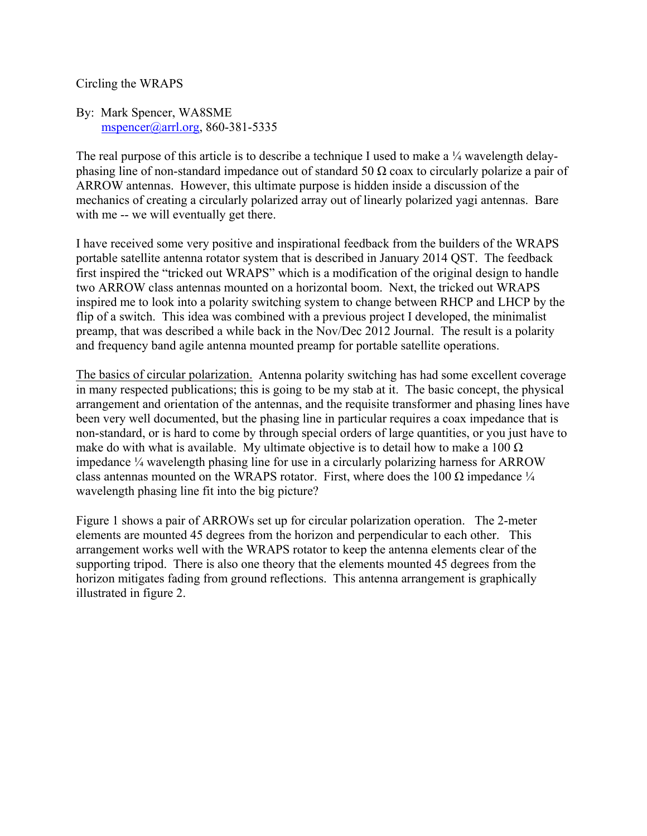## Circling the WRAPS

By: Mark Spencer, WA8SME mspencer@arrl.org, 860-381-5335

The real purpose of this article is to describe a technique I used to make a  $\frac{1}{4}$  wavelength delayphasing line of non-standard impedance out of standard 50  $\Omega$  coax to circularly polarize a pair of ARROW antennas. However, this ultimate purpose is hidden inside a discussion of the mechanics of creating a circularly polarized array out of linearly polarized yagi antennas. Bare with me -- we will eventually get there.

I have received some very positive and inspirational feedback from the builders of the WRAPS portable satellite antenna rotator system that is described in January 2014 QST. The feedback first inspired the "tricked out WRAPS" which is a modification of the original design to handle two ARROW class antennas mounted on a horizontal boom. Next, the tricked out WRAPS inspired me to look into a polarity switching system to change between RHCP and LHCP by the flip of a switch. This idea was combined with a previous project I developed, the minimalist preamp, that was described a while back in the Nov/Dec 2012 Journal. The result is a polarity and frequency band agile antenna mounted preamp for portable satellite operations.

The basics of circular polarization. Antenna polarity switching has had some excellent coverage in many respected publications; this is going to be my stab at it. The basic concept, the physical arrangement and orientation of the antennas, and the requisite transformer and phasing lines have been very well documented, but the phasing line in particular requires a coax impedance that is non-standard, or is hard to come by through special orders of large quantities, or you just have to make do with what is available. My ultimate objective is to detail how to make a 100  $\Omega$ impedance ¼ wavelength phasing line for use in a circularly polarizing harness for ARROW class antennas mounted on the WRAPS rotator. First, where does the 100  $\Omega$  impedance  $\frac{1}{4}$ wavelength phasing line fit into the big picture?

Figure 1 shows a pair of ARROWs set up for circular polarization operation. The 2-meter elements are mounted 45 degrees from the horizon and perpendicular to each other. This arrangement works well with the WRAPS rotator to keep the antenna elements clear of the supporting tripod. There is also one theory that the elements mounted 45 degrees from the horizon mitigates fading from ground reflections. This antenna arrangement is graphically illustrated in figure 2.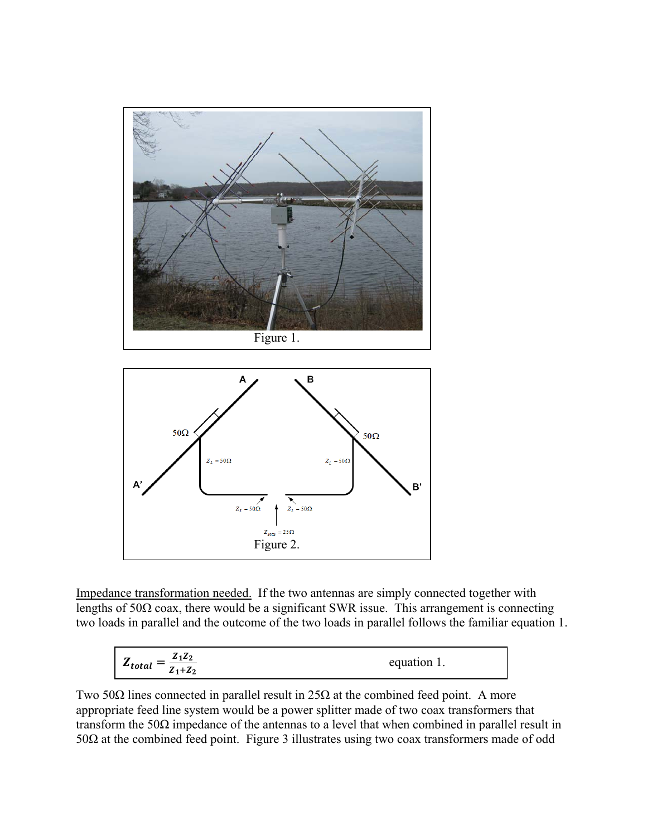



Impedance transformation needed. If the two antennas are simply connected together with lengths of  $50\Omega$  coax, there would be a significant SWR issue. This arrangement is connecting two loads in parallel and the outcome of the two loads in parallel follows the familiar equation 1.

$$
Z_{total} = \frac{z_1 z_2}{z_1 + z_2}
$$
 equation 1.

Two 50 $\Omega$  lines connected in parallel result in 25 $\Omega$  at the combined feed point. A more appropriate feed line system would be a power splitter made of two coax transformers that transform the 50Ω impedance of the antennas to a level that when combined in parallel result in 50Ω at the combined feed point. Figure 3 illustrates using two coax transformers made of odd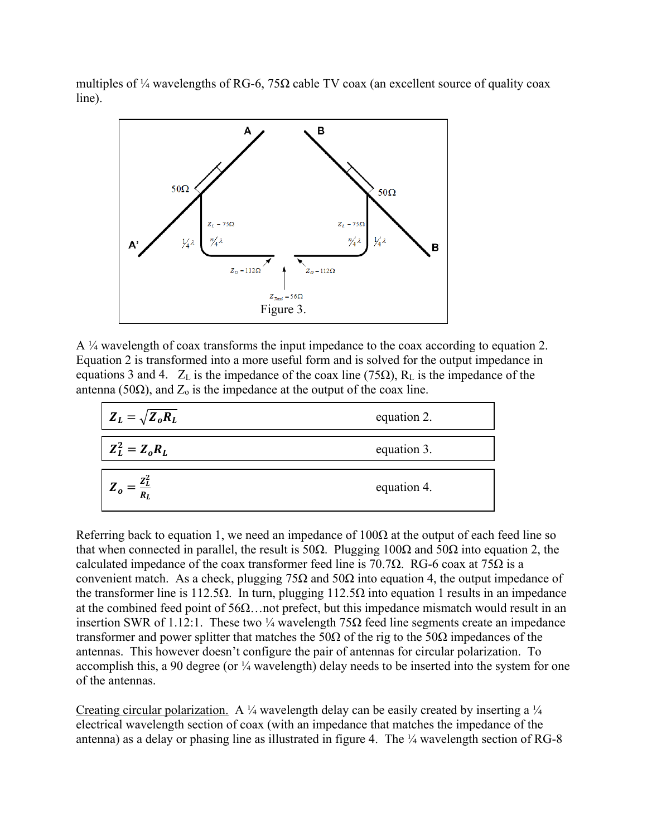multiples of  $\frac{1}{4}$  wavelengths of RG-6, 75 $\Omega$  cable TV coax (an excellent source of quality coax line).



A  $\frac{1}{4}$  wavelength of coax transforms the input impedance to the coax according to equation 2. Equation 2 is transformed into a more useful form and is solved for the output impedance in equations 3 and 4.  $Z_L$  is the impedance of the coax line (75 $\Omega$ ),  $R_L$  is the impedance of the antenna (50 $\Omega$ ), and  $Z_0$  is the impedance at the output of the coax line.

| $Z_L = \sqrt{Z_o R_L}$    | equation 2. |
|---------------------------|-------------|
| $Z_L^2 = Z_o R_L$         | equation 3. |
| $Z_o = \frac{Z_L^2}{R_L}$ | equation 4. |

Referring back to equation 1, we need an impedance of  $100\Omega$  at the output of each feed line so that when connected in parallel, the result is 50Ω. Plugging 100Ω and 50Ω into equation 2, the calculated impedance of the coax transformer feed line is 70.7 $\Omega$ . RG-6 coax at 75 $\Omega$  is a convenient match. As a check, plugging  $75\Omega$  and  $50\Omega$  into equation 4, the output impedance of the transformer line is 112.5 $\Omega$ . In turn, plugging 112.5 $\Omega$  into equation 1 results in an impedance at the combined feed point of  $56\Omega$ ... not prefect, but this impedance mismatch would result in an insertion SWR of 1.12:1. These two ¼ wavelength 75Ω feed line segments create an impedance transformer and power splitter that matches the 50 $\Omega$  of the rig to the 50 $\Omega$  impedances of the antennas. This however doesn't configure the pair of antennas for circular polarization. To accomplish this, a 90 degree (or ¼ wavelength) delay needs to be inserted into the system for one of the antennas.

Creating circular polarization. A  $\frac{1}{4}$  wavelength delay can be easily created by inserting a  $\frac{1}{4}$ electrical wavelength section of coax (with an impedance that matches the impedance of the antenna) as a delay or phasing line as illustrated in figure 4. The ¼ wavelength section of RG-8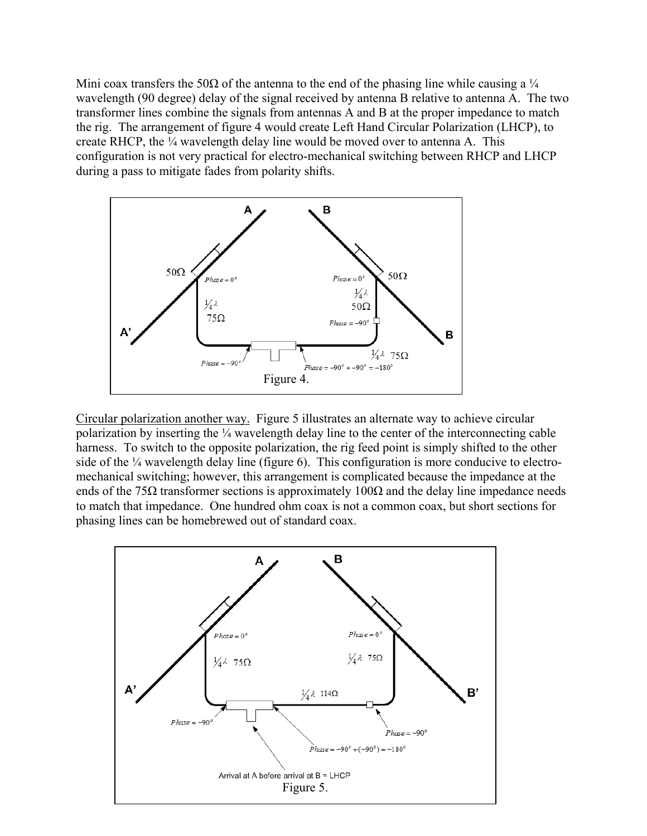Mini coax transfers the 50 $\Omega$  of the antenna to the end of the phasing line while causing a  $\frac{1}{4}$ wavelength (90 degree) delay of the signal received by antenna B relative to antenna A. The two transformer lines combine the signals from antennas A and B at the proper impedance to match the rig. The arrangement of figure 4 would create Left Hand Circular Polarization (LHCP), to create RHCP, the ¼ wavelength delay line would be moved over to antenna A. This configuration is not very practical for electro-mechanical switching between RHCP and LHCP during a pass to mitigate fades from polarity shifts.



Circular polarization another way. Figure 5 illustrates an alternate way to achieve circular polarization by inserting the ¼ wavelength delay line to the center of the interconnecting cable harness. To switch to the opposite polarization, the rig feed point is simply shifted to the other side of the <sup>1/4</sup> wavelength delay line (figure 6). This configuration is more conducive to electromechanical switching; however, this arrangement is complicated because the impedance at the ends of the 75 $\Omega$  transformer sections is approximately 100 $\Omega$  and the delay line impedance needs to match that impedance. One hundred ohm coax is not a common coax, but short sections for phasing lines can be homebrewed out of standard coax.

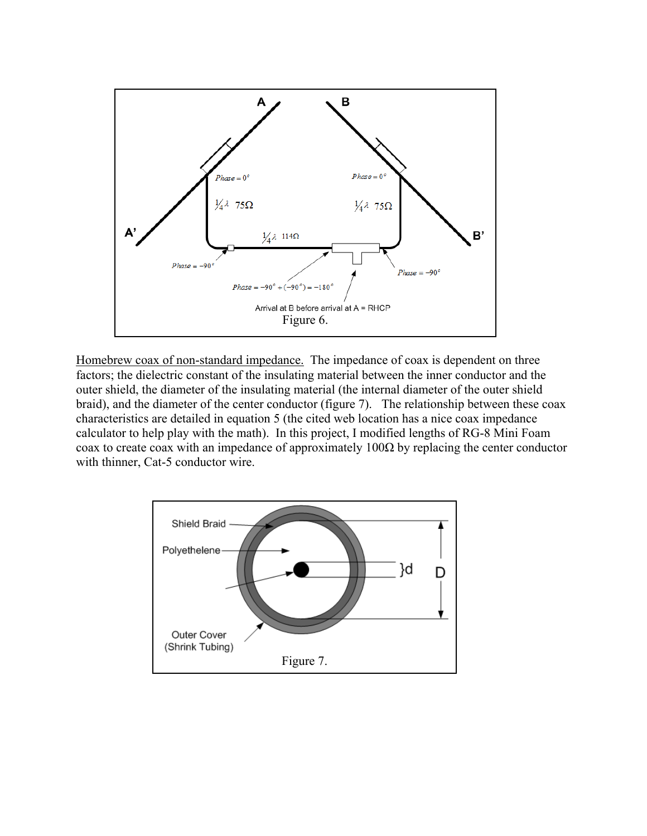

Homebrew coax of non-standard impedance. The impedance of coax is dependent on three factors; the dielectric constant of the insulating material between the inner conductor and the outer shield, the diameter of the insulating material (the internal diameter of the outer shield braid), and the diameter of the center conductor (figure 7). The relationship between these coax characteristics are detailed in equation 5 (the cited web location has a nice coax impedance calculator to help play with the math). In this project, I modified lengths of RG-8 Mini Foam coax to create coax with an impedance of approximately  $100\Omega$  by replacing the center conductor with thinner, Cat-5 conductor wire.

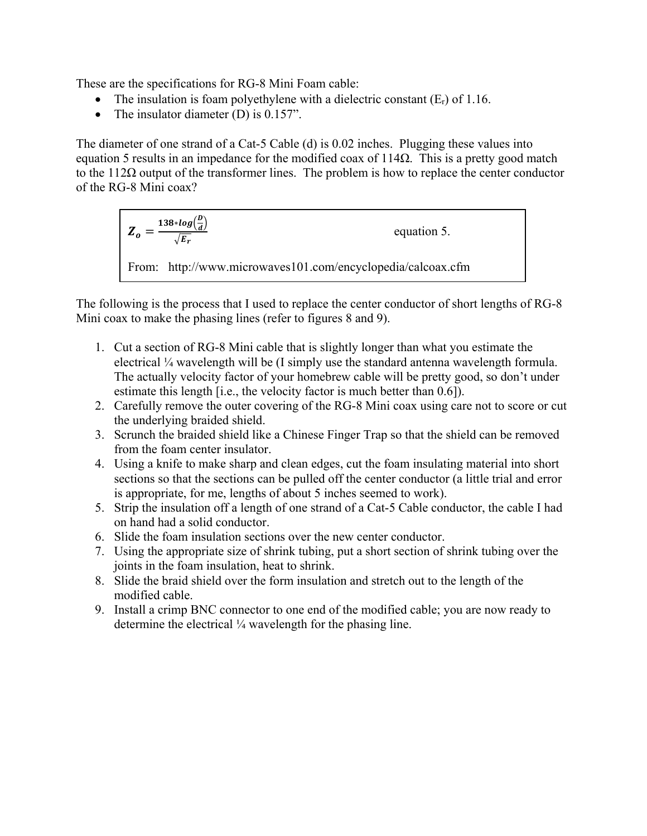These are the specifications for RG-8 Mini Foam cable:

- The insulation is foam polyethylene with a dielectric constant  $(E_r)$  of 1.16.
- The insulator diameter (D) is 0.157".

The diameter of one strand of a Cat-5 Cable (d) is 0.02 inches. Plugging these values into equation 5 results in an impedance for the modified coax of 114Ω. This is a pretty good match to the  $112\Omega$  output of the transformer lines. The problem is how to replace the center conductor of the RG-8 Mini coax?

$$
Z_o = \frac{138 * log(\frac{D}{d})}{\sqrt{E_r}}
$$
 equation 5.  
From: <http://www.microwaves101.com/encyclopedia/calcoax.cfm>

The following is the process that I used to replace the center conductor of short lengths of RG-8 Mini coax to make the phasing lines (refer to figures 8 and 9).

- 1. Cut a section of RG-8 Mini cable that is slightly longer than what you estimate the electrical ¼ wavelength will be (I simply use the standard antenna wavelength formula. The actually velocity factor of your homebrew cable will be pretty good, so don't under estimate this length [i.e., the velocity factor is much better than 0.6]).
- 2. Carefully remove the outer covering of the RG-8 Mini coax using care not to score or cut the underlying braided shield.
- 3. Scrunch the braided shield like a Chinese Finger Trap so that the shield can be removed from the foam center insulator.
- 4. Using a knife to make sharp and clean edges, cut the foam insulating material into short sections so that the sections can be pulled off the center conductor (a little trial and error is appropriate, for me, lengths of about 5 inches seemed to work).
- 5. Strip the insulation off a length of one strand of a Cat-5 Cable conductor, the cable I had on hand had a solid conductor.
- 6. Slide the foam insulation sections over the new center conductor.
- 7. Using the appropriate size of shrink tubing, put a short section of shrink tubing over the joints in the foam insulation, heat to shrink.
- 8. Slide the braid shield over the form insulation and stretch out to the length of the modified cable.
- 9. Install a crimp BNC connector to one end of the modified cable; you are now ready to determine the electrical ¼ wavelength for the phasing line.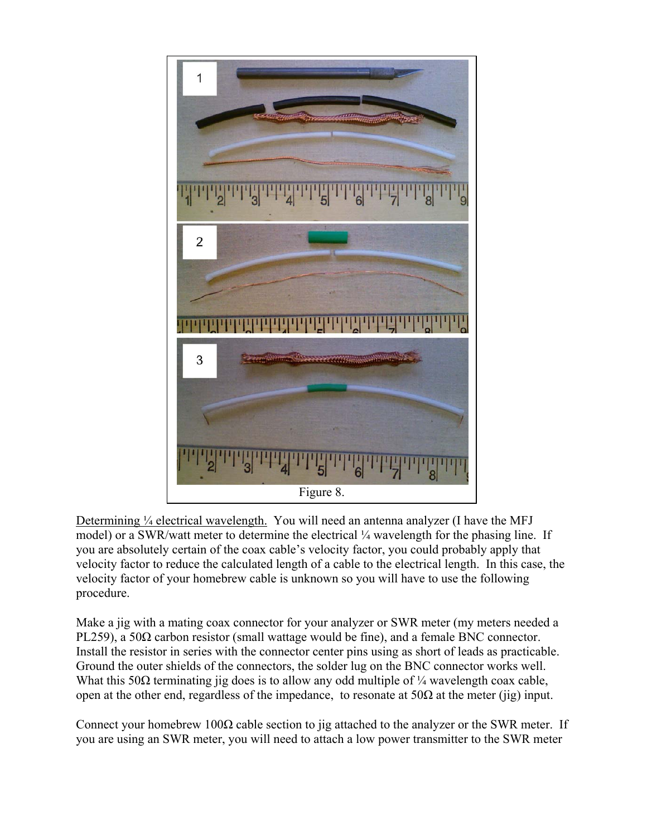

Determining  $\frac{1}{4}$  electrical wavelength. You will need an antenna analyzer (I have the MFJ model) or a SWR/watt meter to determine the electrical ¼ wavelength for the phasing line. If you are absolutely certain of the coax cable's velocity factor, you could probably apply that velocity factor to reduce the calculated length of a cable to the electrical length. In this case, the velocity factor of your homebrew cable is unknown so you will have to use the following procedure.

Make a jig with a mating coax connector for your analyzer or SWR meter (my meters needed a PL259), a 50Ω carbon resistor (small wattage would be fine), and a female BNC connector. Install the resistor in series with the connector center pins using as short of leads as practicable. Ground the outer shields of the connectors, the solder lug on the BNC connector works well. What this 50 $\Omega$  terminating jig does is to allow any odd multiple of  $\frac{1}{4}$  wavelength coax cable, open at the other end, regardless of the impedance, to resonate at  $50\Omega$  at the meter (iig) input.

Connect your homebrew  $100\Omega$  cable section to jig attached to the analyzer or the SWR meter. If you are using an SWR meter, you will need to attach a low power transmitter to the SWR meter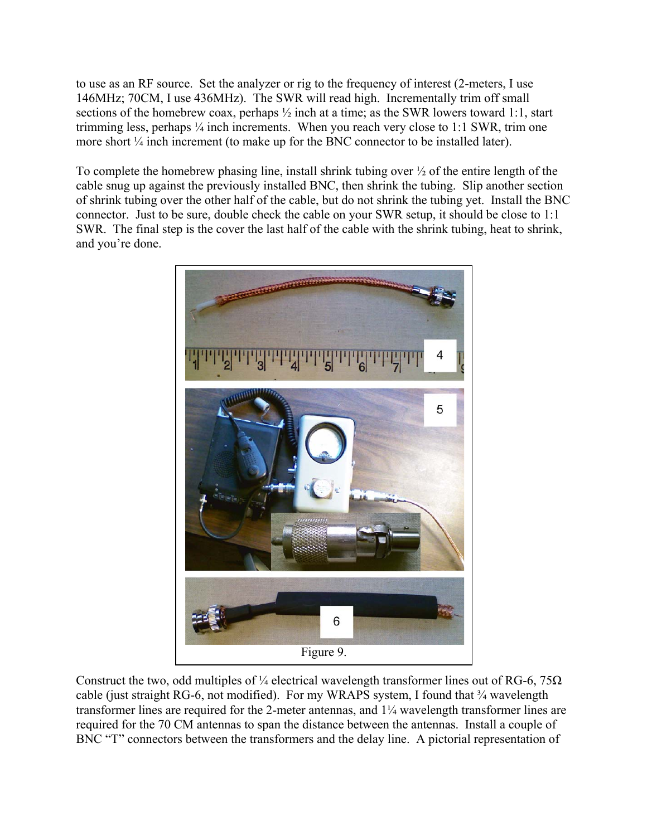to use as an RF source. Set the analyzer or rig to the frequency of interest (2-meters, I use 146MHz; 70CM, I use 436MHz). The SWR will read high. Incrementally trim off small sections of the homebrew coax, perhaps  $\frac{1}{2}$  inch at a time; as the SWR lowers toward 1:1, start trimming less, perhaps  $\frac{1}{4}$  inch increments. When you reach very close to 1:1 SWR, trim one more short  $\frac{1}{4}$  inch increment (to make up for the BNC connector to be installed later).

To complete the homebrew phasing line, install shrink tubing over ½ of the entire length of the cable snug up against the previously installed BNC, then shrink the tubing. Slip another section of shrink tubing over the other half of the cable, but do not shrink the tubing yet. Install the BNC connector. Just to be sure, double check the cable on your SWR setup, it should be close to 1:1 SWR. The final step is the cover the last half of the cable with the shrink tubing, heat to shrink, and you're done.



Construct the two, odd multiples of ¼ electrical wavelength transformer lines out of RG-6, 75 $\Omega$ cable (just straight RG-6, not modified). For my WRAPS system, I found that  $\frac{3}{4}$  wavelength transformer lines are required for the 2-meter antennas, and 1¼ wavelength transformer lines are required for the 70 CM antennas to span the distance between the antennas. Install a couple of BNC "T" connectors between the transformers and the delay line. A pictorial representation of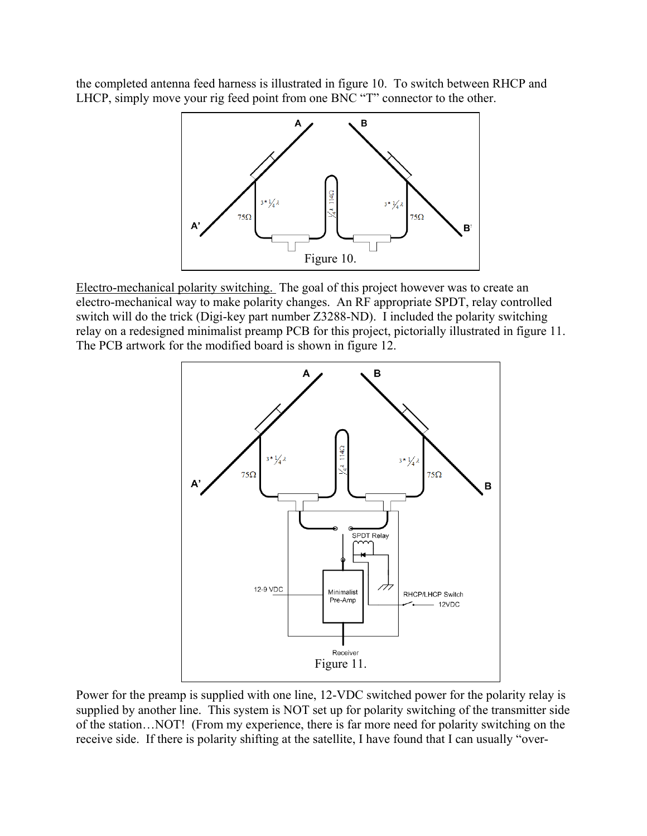the completed antenna feed harness is illustrated in figure 10. To switch between RHCP and LHCP, simply move your rig feed point from one BNC "T" connector to the other.



Electro-mechanical polarity switching. The goal of this project however was to create an electro-mechanical way to make polarity changes. An RF appropriate SPDT, relay controlled switch will do the trick (Digi-key part number Z3288-ND). I included the polarity switching relay on a redesigned minimalist preamp PCB for this project, pictorially illustrated in figure 11. The PCB artwork for the modified board is shown in figure 12.



Power for the preamp is supplied with one line, 12-VDC switched power for the polarity relay is supplied by another line. This system is NOT set up for polarity switching of the transmitter side of the station…NOT! (From my experience, there is far more need for polarity switching on the receive side. If there is polarity shifting at the satellite, I have found that I can usually "over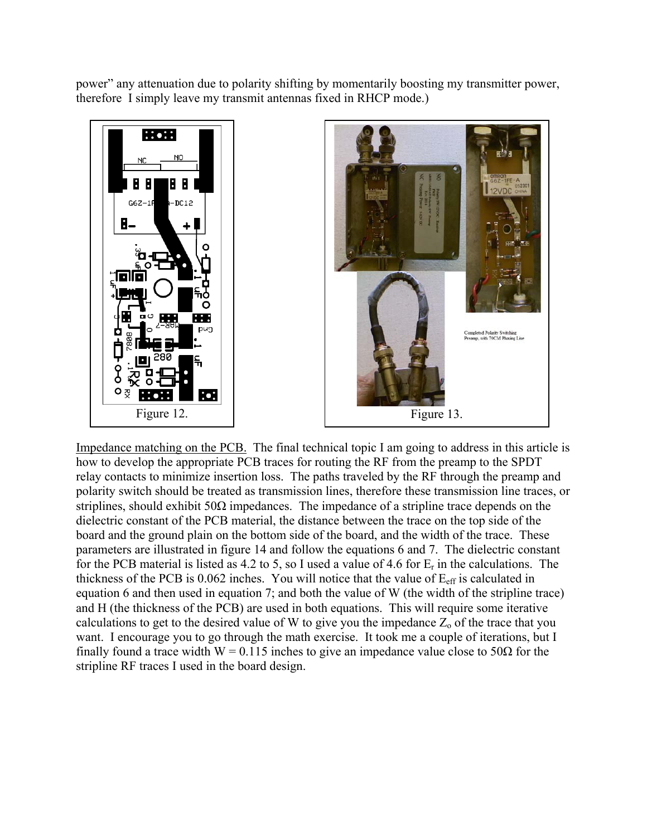power" any attenuation due to polarity shifting by momentarily boosting my transmitter power, therefore I simply leave my transmit antennas fixed in RHCP mode.)



Impedance matching on the PCB. The final technical topic I am going to address in this article is how to develop the appropriate PCB traces for routing the RF from the preamp to the SPDT relay contacts to minimize insertion loss. The paths traveled by the RF through the preamp and polarity switch should be treated as transmission lines, therefore these transmission line traces, or striplines, should exhibit  $50\Omega$  impedances. The impedance of a stripline trace depends on the dielectric constant of the PCB material, the distance between the trace on the top side of the board and the ground plain on the bottom side of the board, and the width of the trace. These parameters are illustrated in figure 14 and follow the equations 6 and 7. The dielectric constant for the PCB material is listed as 4.2 to 5, so I used a value of 4.6 for  $E_r$  in the calculations. The thickness of the PCB is  $0.062$  inches. You will notice that the value of  $E_{\text{eff}}$  is calculated in equation 6 and then used in equation 7; and both the value of W (the width of the stripline trace) and H (the thickness of the PCB) are used in both equations. This will require some iterative calculations to get to the desired value of W to give you the impedance  $Z_0$  of the trace that you want. I encourage you to go through the math exercise. It took me a couple of iterations, but I finally found a trace width  $W = 0.115$  inches to give an impedance value close to 50 $\Omega$  for the stripline RF traces I used in the board design.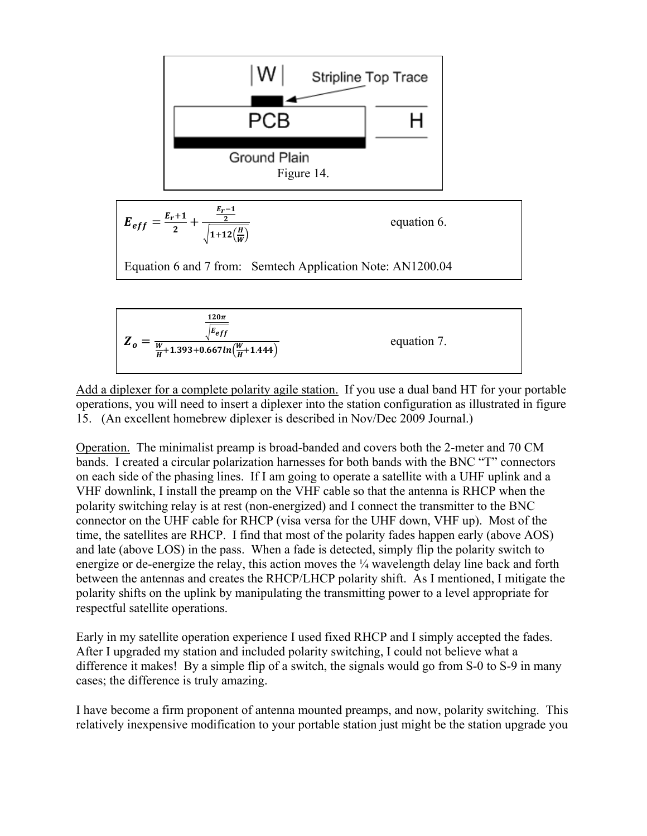

$$
Z_0 = \frac{\frac{120\pi}{\sqrt{E_{eff}}}}{\frac{W}{H} + 1.393 + 0.667 \ln(\frac{W}{H} + 1.444)}
$$
 equation 7.

Add a diplexer for a complete polarity agile station. If you use a dual band HT for your portable operations, you will need to insert a diplexer into the station configuration as illustrated in figure 15. (An excellent homebrew diplexer is described in Nov/Dec 2009 Journal.)

Operation. The minimalist preamp is broad-banded and covers both the 2-meter and 70 CM bands. I created a circular polarization harnesses for both bands with the BNC "T" connectors on each side of the phasing lines. If I am going to operate a satellite with a UHF uplink and a VHF downlink, I install the preamp on the VHF cable so that the antenna is RHCP when the polarity switching relay is at rest (non-energized) and I connect the transmitter to the BNC connector on the UHF cable for RHCP (visa versa for the UHF down, VHF up). Most of the time, the satellites are RHCP. I find that most of the polarity fades happen early (above AOS) and late (above LOS) in the pass. When a fade is detected, simply flip the polarity switch to energize or de-energize the relay, this action moves the  $\frac{1}{4}$  wavelength delay line back and forth between the antennas and creates the RHCP/LHCP polarity shift. As I mentioned, I mitigate the polarity shifts on the uplink by manipulating the transmitting power to a level appropriate for respectful satellite operations.

Early in my satellite operation experience I used fixed RHCP and I simply accepted the fades. After I upgraded my station and included polarity switching, I could not believe what a difference it makes! By a simple flip of a switch, the signals would go from S-0 to S-9 in many cases; the difference is truly amazing.

I have become a firm proponent of antenna mounted preamps, and now, polarity switching. This relatively inexpensive modification to your portable station just might be the station upgrade you